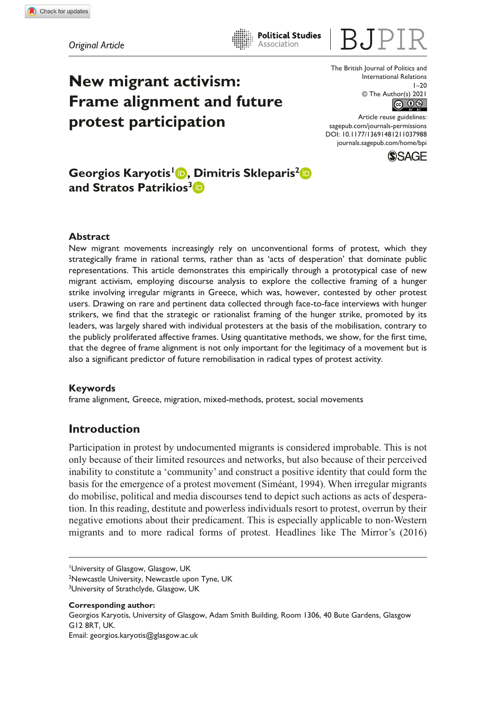*Original Article*

**New migrant activism: Frame alignment and future protest participation**

The British Journal of Politics and International Relations  $1 - 20$  $\circledcirc$  The Author(s) 2021

DOI: 10.1177/13691481211037988 Article reuse guidelines: [sagepub.com/journals-permissions](https://uk.sagepub.com/en-gb/journals-permissions) [journals.sagepub.com/home/bpi](https://journals.sagepub.com/home/bpi)



# **Georgios Karyotis<sup>1</sup> <b>D**, Dimitris Skleparis<sup>2</sup> D **and Stratos Patrikios3**

### **Abstract**

New migrant movements increasingly rely on unconventional forms of protest, which they strategically frame in rational terms, rather than as 'acts of desperation' that dominate public representations. This article demonstrates this empirically through a prototypical case of new migrant activism, employing discourse analysis to explore the collective framing of a hunger strike involving irregular migrants in Greece, which was, however, contested by other protest users. Drawing on rare and pertinent data collected through face-to-face interviews with hunger strikers, we find that the strategic or rationalist framing of the hunger strike, promoted by its leaders, was largely shared with individual protesters at the basis of the mobilisation, contrary to the publicly proliferated affective frames. Using quantitative methods, we show, for the first time, that the degree of frame alignment is not only important for the legitimacy of a movement but is also a significant predictor of future remobilisation in radical types of protest activity.

**Political Studies** Association

### **Keywords**

frame alignment, Greece, migration, mixed-methods, protest, social movements

## **Introduction**

Participation in protest by undocumented migrants is considered improbable. This is not only because of their limited resources and networks, but also because of their perceived inability to constitute a 'community' and construct a positive identity that could form the basis for the emergence of a protest movement (Siméant, 1994). When irregular migrants do mobilise, political and media discourses tend to depict such actions as acts of desperation. In this reading, destitute and powerless individuals resort to protest, overrun by their negative emotions about their predicament. This is especially applicable to non-Western migrants and to more radical forms of protest. Headlines like The Mirror's (2016)

**Corresponding author:** Georgios Karyotis, University of Glasgow, Adam Smith Building, Room 1306, 40 Bute Gardens, Glasgow G12 8RT, UK.

Email: [georgios.karyotis@glasgow.ac.uk](mailto:georgios.karyotis@glasgow.ac.uk)

<sup>1</sup> University of Glasgow, Glasgow, UK <sup>2</sup>Newcastle University, Newcastle upon Tyne, UK <sup>3</sup>University of Strathclyde, Glasgow, UK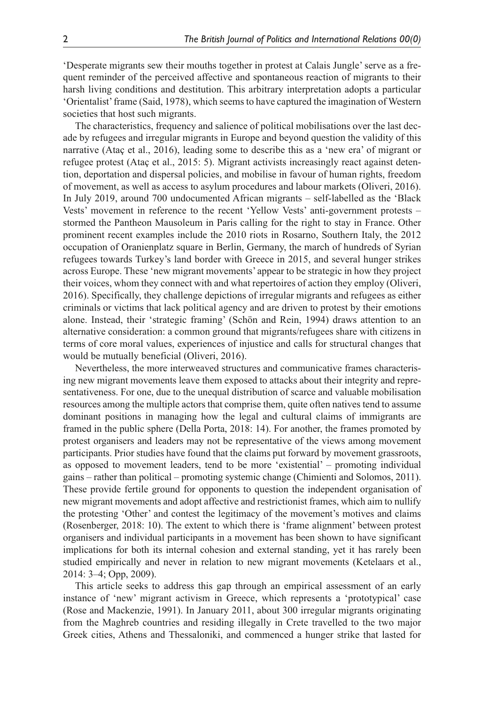'Desperate migrants sew their mouths together in protest at Calais Jungle' serve as a frequent reminder of the perceived affective and spontaneous reaction of migrants to their harsh living conditions and destitution. This arbitrary interpretation adopts a particular 'Orientalist' frame (Said, 1978), which seems to have captured the imagination of Western societies that host such migrants.

The characteristics, frequency and salience of political mobilisations over the last decade by refugees and irregular migrants in Europe and beyond question the validity of this narrative (Ataç et al., 2016), leading some to describe this as a 'new era' of migrant or refugee protest (Ataç et al., 2015: 5). Migrant activists increasingly react against detention, deportation and dispersal policies, and mobilise in favour of human rights, freedom of movement, as well as access to asylum procedures and labour markets (Oliveri, 2016). In July 2019, around 700 undocumented African migrants – self-labelled as the 'Black Vests' movement in reference to the recent 'Yellow Vests' anti-government protests – stormed the Pantheon Mausoleum in Paris calling for the right to stay in France. Other prominent recent examples include the 2010 riots in Rosarno, Southern Italy, the 2012 occupation of Oranienplatz square in Berlin, Germany, the march of hundreds of Syrian refugees towards Turkey's land border with Greece in 2015, and several hunger strikes across Europe. These 'new migrant movements' appear to be strategic in how they project their voices, whom they connect with and what repertoires of action they employ (Oliveri, 2016). Specifically, they challenge depictions of irregular migrants and refugees as either criminals or victims that lack political agency and are driven to protest by their emotions alone. Instead, their 'strategic framing' (Schön and Rein, 1994) draws attention to an alternative consideration: a common ground that migrants/refugees share with citizens in terms of core moral values, experiences of injustice and calls for structural changes that would be mutually beneficial (Oliveri, 2016).

Nevertheless, the more interweaved structures and communicative frames characterising new migrant movements leave them exposed to attacks about their integrity and representativeness. For one, due to the unequal distribution of scarce and valuable mobilisation resources among the multiple actors that comprise them, quite often natives tend to assume dominant positions in managing how the legal and cultural claims of immigrants are framed in the public sphere (Della Porta, 2018: 14). For another, the frames promoted by protest organisers and leaders may not be representative of the views among movement participants. Prior studies have found that the claims put forward by movement grassroots, as opposed to movement leaders, tend to be more 'existential' – promoting individual gains – rather than political – promoting systemic change (Chimienti and Solomos, 2011). These provide fertile ground for opponents to question the independent organisation of new migrant movements and adopt affective and restrictionist frames, which aim to nullify the protesting 'Other' and contest the legitimacy of the movement's motives and claims (Rosenberger, 2018: 10). The extent to which there is 'frame alignment' between protest organisers and individual participants in a movement has been shown to have significant implications for both its internal cohesion and external standing, yet it has rarely been studied empirically and never in relation to new migrant movements (Ketelaars et al., 2014: 3–4; Opp, 2009).

This article seeks to address this gap through an empirical assessment of an early instance of 'new' migrant activism in Greece, which represents a 'prototypical' case (Rose and Mackenzie, 1991). In January 2011, about 300 irregular migrants originating from the Maghreb countries and residing illegally in Crete travelled to the two major Greek cities, Athens and Thessaloniki, and commenced a hunger strike that lasted for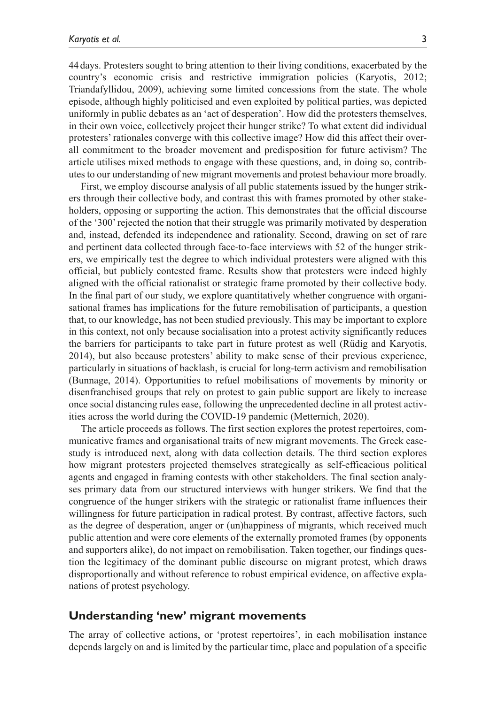44 days. Protesters sought to bring attention to their living conditions, exacerbated by the country's economic crisis and restrictive immigration policies (Karyotis, 2012; Triandafyllidou, 2009), achieving some limited concessions from the state. The whole episode, although highly politicised and even exploited by political parties, was depicted uniformly in public debates as an 'act of desperation'. How did the protesters themselves, in their own voice, collectively project their hunger strike? To what extent did individual protesters' rationales converge with this collective image? How did this affect their overall commitment to the broader movement and predisposition for future activism? The article utilises mixed methods to engage with these questions, and, in doing so, contributes to our understanding of new migrant movements and protest behaviour more broadly.

First, we employ discourse analysis of all public statements issued by the hunger strikers through their collective body, and contrast this with frames promoted by other stakeholders, opposing or supporting the action. This demonstrates that the official discourse of the '300' rejected the notion that their struggle was primarily motivated by desperation and, instead, defended its independence and rationality. Second, drawing on set of rare and pertinent data collected through face-to-face interviews with 52 of the hunger strikers, we empirically test the degree to which individual protesters were aligned with this official, but publicly contested frame. Results show that protesters were indeed highly aligned with the official rationalist or strategic frame promoted by their collective body. In the final part of our study, we explore quantitatively whether congruence with organisational frames has implications for the future remobilisation of participants, a question that, to our knowledge, has not been studied previously. This may be important to explore in this context, not only because socialisation into a protest activity significantly reduces the barriers for participants to take part in future protest as well (Rüdig and Karyotis, 2014), but also because protesters' ability to make sense of their previous experience, particularly in situations of backlash, is crucial for long-term activism and remobilisation (Bunnage, 2014). Opportunities to refuel mobilisations of movements by minority or disenfranchised groups that rely on protest to gain public support are likely to increase once social distancing rules ease, following the unprecedented decline in all protest activities across the world during the COVID-19 pandemic (Metternich, 2020).

The article proceeds as follows. The first section explores the protest repertoires, communicative frames and organisational traits of new migrant movements. The Greek casestudy is introduced next, along with data collection details. The third section explores how migrant protesters projected themselves strategically as self-efficacious political agents and engaged in framing contests with other stakeholders. The final section analyses primary data from our structured interviews with hunger strikers. We find that the congruence of the hunger strikers with the strategic or rationalist frame influences their willingness for future participation in radical protest. By contrast, affective factors, such as the degree of desperation, anger or (un)happiness of migrants, which received much public attention and were core elements of the externally promoted frames (by opponents and supporters alike), do not impact on remobilisation. Taken together, our findings question the legitimacy of the dominant public discourse on migrant protest, which draws disproportionally and without reference to robust empirical evidence, on affective explanations of protest psychology.

### **Understanding 'new' migrant movements**

The array of collective actions, or 'protest repertoires', in each mobilisation instance depends largely on and is limited by the particular time, place and population of a specific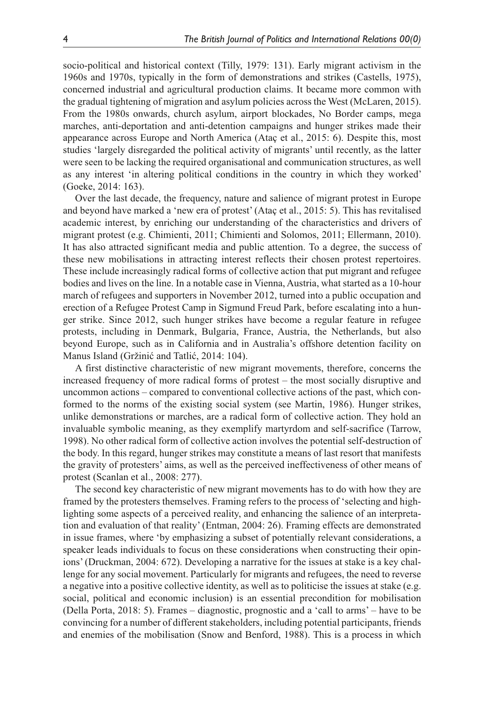socio-political and historical context (Tilly, 1979: 131). Early migrant activism in the 1960s and 1970s, typically in the form of demonstrations and strikes (Castells, 1975), concerned industrial and agricultural production claims. It became more common with the gradual tightening of migration and asylum policies across the West (McLaren, 2015). From the 1980s onwards, church asylum, airport blockades, No Border camps, mega marches, anti-deportation and anti-detention campaigns and hunger strikes made their appearance across Europe and North America (Ataç et al., 2015: 6). Despite this, most studies 'largely disregarded the political activity of migrants' until recently, as the latter were seen to be lacking the required organisational and communication structures, as well as any interest 'in altering political conditions in the country in which they worked' (Goeke, 2014: 163).

Over the last decade, the frequency, nature and salience of migrant protest in Europe and beyond have marked a 'new era of protest' (Ataç et al., 2015: 5). This has revitalised academic interest, by enriching our understanding of the characteristics and drivers of migrant protest (e.g. Chimienti, 2011; Chimienti and Solomos, 2011; Ellermann, 2010). It has also attracted significant media and public attention. To a degree, the success of these new mobilisations in attracting interest reflects their chosen protest repertoires. These include increasingly radical forms of collective action that put migrant and refugee bodies and lives on the line. In a notable case in Vienna, Austria, what started as a 10-hour march of refugees and supporters in November 2012, turned into a public occupation and erection of a Refugee Protest Camp in Sigmund Freud Park, before escalating into a hunger strike. Since 2012, such hunger strikes have become a regular feature in refugee protests, including in Denmark, Bulgaria, France, Austria, the Netherlands, but also beyond Europe, such as in California and in Australia's offshore detention facility on Manus Island (Gržinić and Tatlić, 2014: 104).

A first distinctive characteristic of new migrant movements, therefore, concerns the increased frequency of more radical forms of protest – the most socially disruptive and uncommon actions – compared to conventional collective actions of the past, which conformed to the norms of the existing social system (see Martin, 1986). Hunger strikes, unlike demonstrations or marches, are a radical form of collective action. They hold an invaluable symbolic meaning, as they exemplify martyrdom and self-sacrifice (Tarrow, 1998). No other radical form of collective action involves the potential self-destruction of the body. In this regard, hunger strikes may constitute a means of last resort that manifests the gravity of protesters' aims, as well as the perceived ineffectiveness of other means of protest (Scanlan et al., 2008: 277).

The second key characteristic of new migrant movements has to do with how they are framed by the protesters themselves. Framing refers to the process of 'selecting and highlighting some aspects of a perceived reality, and enhancing the salience of an interpretation and evaluation of that reality' (Entman, 2004: 26). Framing effects are demonstrated in issue frames, where 'by emphasizing a subset of potentially relevant considerations, a speaker leads individuals to focus on these considerations when constructing their opinions' (Druckman, 2004: 672). Developing a narrative for the issues at stake is a key challenge for any social movement. Particularly for migrants and refugees, the need to reverse a negative into a positive collective identity, as well as to politicise the issues at stake (e.g. social, political and economic inclusion) is an essential precondition for mobilisation (Della Porta, 2018: 5). Frames – diagnostic, prognostic and a 'call to arms' – have to be convincing for a number of different stakeholders, including potential participants, friends and enemies of the mobilisation (Snow and Benford, 1988). This is a process in which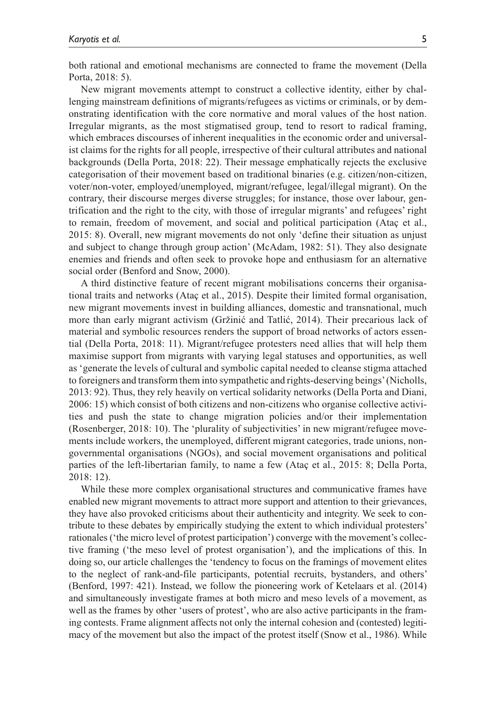both rational and emotional mechanisms are connected to frame the movement (Della Porta, 2018: 5).

New migrant movements attempt to construct a collective identity, either by challenging mainstream definitions of migrants/refugees as victims or criminals, or by demonstrating identification with the core normative and moral values of the host nation. Irregular migrants, as the most stigmatised group, tend to resort to radical framing, which embraces discourses of inherent inequalities in the economic order and universalist claims for the rights for all people, irrespective of their cultural attributes and national backgrounds (Della Porta, 2018: 22). Their message emphatically rejects the exclusive categorisation of their movement based on traditional binaries (e.g. citizen/non-citizen, voter/non-voter, employed/unemployed, migrant/refugee, legal/illegal migrant). On the contrary, their discourse merges diverse struggles; for instance, those over labour, gentrification and the right to the city, with those of irregular migrants' and refugees' right to remain, freedom of movement, and social and political participation (Ataç et al., 2015: 8). Overall, new migrant movements do not only 'define their situation as unjust and subject to change through group action' (McAdam, 1982: 51). They also designate enemies and friends and often seek to provoke hope and enthusiasm for an alternative social order (Benford and Snow, 2000).

A third distinctive feature of recent migrant mobilisations concerns their organisational traits and networks (Ataç et al., 2015). Despite their limited formal organisation, new migrant movements invest in building alliances, domestic and transnational, much more than early migrant activism (Gržinić and Tatlić, 2014). Their precarious lack of material and symbolic resources renders the support of broad networks of actors essential (Della Porta, 2018: 11). Migrant/refugee protesters need allies that will help them maximise support from migrants with varying legal statuses and opportunities, as well as 'generate the levels of cultural and symbolic capital needed to cleanse stigma attached to foreigners and transform them into sympathetic and rights-deserving beings' (Nicholls, 2013: 92). Thus, they rely heavily on vertical solidarity networks (Della Porta and Diani, 2006: 15) which consist of both citizens and non-citizens who organise collective activities and push the state to change migration policies and/or their implementation (Rosenberger, 2018: 10). The 'plurality of subjectivities' in new migrant/refugee movements include workers, the unemployed, different migrant categories, trade unions, nongovernmental organisations (NGOs), and social movement organisations and political parties of the left-libertarian family, to name a few (Ataç et al., 2015: 8; Della Porta, 2018: 12).

While these more complex organisational structures and communicative frames have enabled new migrant movements to attract more support and attention to their grievances, they have also provoked criticisms about their authenticity and integrity. We seek to contribute to these debates by empirically studying the extent to which individual protesters' rationales ('the micro level of protest participation') converge with the movement's collective framing ('the meso level of protest organisation'), and the implications of this. In doing so, our article challenges the 'tendency to focus on the framings of movement elites to the neglect of rank-and-file participants, potential recruits, bystanders, and others' (Benford, 1997: 421). Instead, we follow the pioneering work of Ketelaars et al. (2014) and simultaneously investigate frames at both micro and meso levels of a movement, as well as the frames by other 'users of protest', who are also active participants in the framing contests. Frame alignment affects not only the internal cohesion and (contested) legitimacy of the movement but also the impact of the protest itself (Snow et al., 1986). While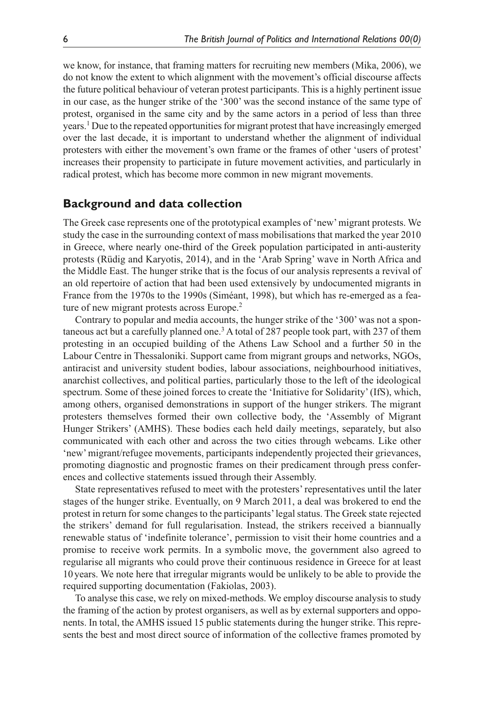we know, for instance, that framing matters for recruiting new members (Mika, 2006), we do not know the extent to which alignment with the movement's official discourse affects the future political behaviour of veteran protest participants. This is a highly pertinent issue in our case, as the hunger strike of the '300' was the second instance of the same type of protest, organised in the same city and by the same actors in a period of less than three years.<sup>1</sup> Due to the repeated opportunities for migrant protest that have increasingly emerged over the last decade, it is important to understand whether the alignment of individual protesters with either the movement's own frame or the frames of other 'users of protest' increases their propensity to participate in future movement activities, and particularly in radical protest, which has become more common in new migrant movements.

### **Background and data collection**

The Greek case represents one of the prototypical examples of 'new' migrant protests. We study the case in the surrounding context of mass mobilisations that marked the year 2010 in Greece, where nearly one-third of the Greek population participated in anti-austerity protests (Rüdig and Karyotis, 2014), and in the 'Arab Spring' wave in North Africa and the Middle East. The hunger strike that is the focus of our analysis represents a revival of an old repertoire of action that had been used extensively by undocumented migrants in France from the 1970s to the 1990s (Siméant, 1998), but which has re-emerged as a feature of new migrant protests across Europe.<sup>2</sup>

Contrary to popular and media accounts, the hunger strike of the '300' was not a spontaneous act but a carefully planned one.<sup>3</sup> A total of 287 people took part, with 237 of them protesting in an occupied building of the Athens Law School and a further 50 in the Labour Centre in Thessaloniki. Support came from migrant groups and networks, NGOs, antiracist and university student bodies, labour associations, neighbourhood initiatives, anarchist collectives, and political parties, particularly those to the left of the ideological spectrum. Some of these joined forces to create the 'Initiative for Solidarity' (IfS), which, among others, organised demonstrations in support of the hunger strikers. The migrant protesters themselves formed their own collective body, the 'Assembly of Migrant Hunger Strikers' (AMHS). These bodies each held daily meetings, separately, but also communicated with each other and across the two cities through webcams. Like other 'new' migrant/refugee movements, participants independently projected their grievances, promoting diagnostic and prognostic frames on their predicament through press conferences and collective statements issued through their Assembly.

State representatives refused to meet with the protesters' representatives until the later stages of the hunger strike. Eventually, on 9 March 2011, a deal was brokered to end the protest in return for some changes to the participants' legal status. The Greek state rejected the strikers' demand for full regularisation. Instead, the strikers received a biannually renewable status of 'indefinite tolerance', permission to visit their home countries and a promise to receive work permits. In a symbolic move, the government also agreed to regularise all migrants who could prove their continuous residence in Greece for at least 10years. We note here that irregular migrants would be unlikely to be able to provide the required supporting documentation (Fakiolas, 2003).

To analyse this case, we rely on mixed-methods. We employ discourse analysis to study the framing of the action by protest organisers, as well as by external supporters and opponents. In total, the AMHS issued 15 public statements during the hunger strike. This represents the best and most direct source of information of the collective frames promoted by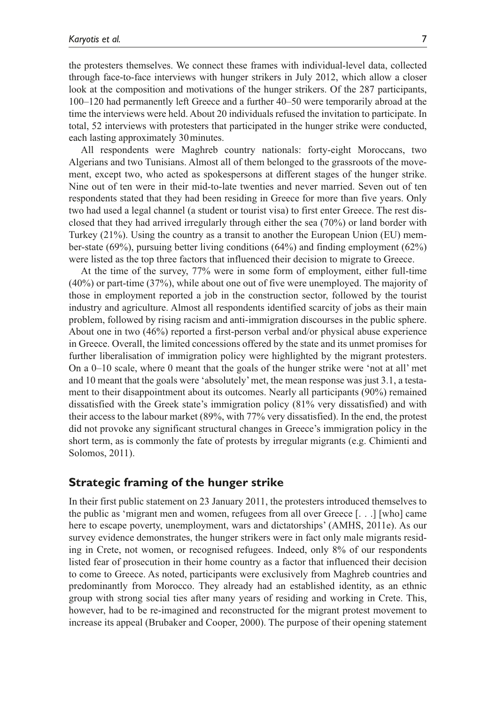the protesters themselves. We connect these frames with individual-level data, collected through face-to-face interviews with hunger strikers in July 2012, which allow a closer look at the composition and motivations of the hunger strikers. Of the 287 participants, 100–120 had permanently left Greece and a further 40–50 were temporarily abroad at the time the interviews were held. About 20 individuals refused the invitation to participate. In total, 52 interviews with protesters that participated in the hunger strike were conducted, each lasting approximately 30minutes.

All respondents were Maghreb country nationals: forty-eight Moroccans, two Algerians and two Tunisians. Almost all of them belonged to the grassroots of the movement, except two, who acted as spokespersons at different stages of the hunger strike. Nine out of ten were in their mid-to-late twenties and never married. Seven out of ten respondents stated that they had been residing in Greece for more than five years. Only two had used a legal channel (a student or tourist visa) to first enter Greece. The rest disclosed that they had arrived irregularly through either the sea (70%) or land border with Turkey (21%). Using the country as a transit to another the European Union (EU) member-state (69%), pursuing better living conditions (64%) and finding employment (62%) were listed as the top three factors that influenced their decision to migrate to Greece.

At the time of the survey, 77% were in some form of employment, either full-time (40%) or part-time (37%), while about one out of five were unemployed. The majority of those in employment reported a job in the construction sector, followed by the tourist industry and agriculture. Almost all respondents identified scarcity of jobs as their main problem, followed by rising racism and anti-immigration discourses in the public sphere. About one in two (46%) reported a first-person verbal and/or physical abuse experience in Greece. Overall, the limited concessions offered by the state and its unmet promises for further liberalisation of immigration policy were highlighted by the migrant protesters. On a 0–10 scale, where 0 meant that the goals of the hunger strike were 'not at all' met and 10 meant that the goals were 'absolutely' met, the mean response was just 3.1, a testament to their disappointment about its outcomes. Nearly all participants (90%) remained dissatisfied with the Greek state's immigration policy (81% very dissatisfied) and with their access to the labour market (89%, with 77% very dissatisfied). In the end, the protest did not provoke any significant structural changes in Greece's immigration policy in the short term, as is commonly the fate of protests by irregular migrants (e.g. Chimienti and Solomos, 2011).

### **Strategic framing of the hunger strike**

In their first public statement on 23 January 2011, the protesters introduced themselves to the public as 'migrant men and women, refugees from all over Greece [. . .] [who] came here to escape poverty, unemployment, wars and dictatorships' (AMHS, 2011e). As our survey evidence demonstrates, the hunger strikers were in fact only male migrants residing in Crete, not women, or recognised refugees. Indeed, only 8% of our respondents listed fear of prosecution in their home country as a factor that influenced their decision to come to Greece. As noted, participants were exclusively from Maghreb countries and predominantly from Morocco. They already had an established identity, as an ethnic group with strong social ties after many years of residing and working in Crete. This, however, had to be re-imagined and reconstructed for the migrant protest movement to increase its appeal (Brubaker and Cooper, 2000). The purpose of their opening statement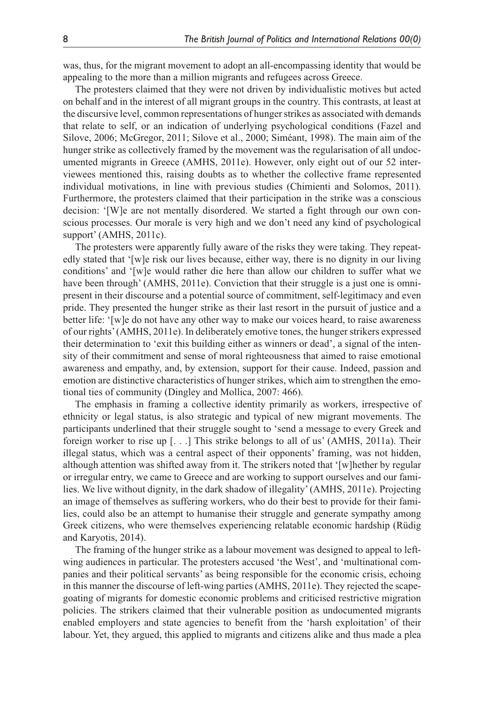was, thus, for the migrant movement to adopt an all-encompassing identity that would be appealing to the more than a million migrants and refugees across Greece.

The protesters claimed that they were not driven by individualistic motives but acted on behalf and in the interest of all migrant groups in the country. This contrasts, at least at the discursive level, common representations of hunger strikes as associated with demands that relate to self, or an indication of underlying psychological conditions (Fazel and Silove, 2006; McGregor, 2011; Silove et al., 2000; Siméant, 1998). The main aim of the hunger strike as collectively framed by the movement was the regularisation of all undocumented migrants in Greece (AMHS, 2011e). However, only eight out of our 52 interviewees mentioned this, raising doubts as to whether the collective frame represented individual motivations, in line with previous studies (Chimienti and Solomos, 2011). Furthermore, the protesters claimed that their participation in the strike was a conscious decision: '[W]e are not mentally disordered. We started a fight through our own conscious processes. Our morale is very high and we don't need any kind of psychological support' (AMHS, 2011c).

The protesters were apparently fully aware of the risks they were taking. They repeatedly stated that '[w]e risk our lives because, either way, there is no dignity in our living conditions' and '[w]e would rather die here than allow our children to suffer what we have been through' (AMHS, 2011e). Conviction that their struggle is a just one is omnipresent in their discourse and a potential source of commitment, self-legitimacy and even pride. They presented the hunger strike as their last resort in the pursuit of justice and a better life: '[w]e do not have any other way to make our voices heard, to raise awareness of our rights' (AMHS, 2011e). In deliberately emotive tones, the hunger strikers expressed their determination to 'exit this building either as winners or dead', a signal of the intensity of their commitment and sense of moral righteousness that aimed to raise emotional awareness and empathy, and, by extension, support for their cause. Indeed, passion and emotion are distinctive characteristics of hunger strikes, which aim to strengthen the emotional ties of community (Dingley and Mollica, 2007: 466).

The emphasis in framing a collective identity primarily as workers, irrespective of ethnicity or legal status, is also strategic and typical of new migrant movements. The participants underlined that their struggle sought to 'send a message to every Greek and foreign worker to rise up [. . .] This strike belongs to all of us' (AMHS, 2011a). Their illegal status, which was a central aspect of their opponents' framing, was not hidden, although attention was shifted away from it. The strikers noted that '[w]hether by regular or irregular entry, we came to Greece and are working to support ourselves and our families. We live without dignity, in the dark shadow of illegality' (AMHS, 2011e). Projecting an image of themselves as suffering workers, who do their best to provide for their families, could also be an attempt to humanise their struggle and generate sympathy among Greek citizens, who were themselves experiencing relatable economic hardship (Rüdig and Karyotis, 2014).

The framing of the hunger strike as a labour movement was designed to appeal to leftwing audiences in particular. The protesters accused 'the West', and 'multinational companies and their political servants' as being responsible for the economic crisis, echoing in this manner the discourse of left-wing parties (AMHS, 2011e). They rejected the scapegoating of migrants for domestic economic problems and criticised restrictive migration policies. The strikers claimed that their vulnerable position as undocumented migrants enabled employers and state agencies to benefit from the 'harsh exploitation' of their labour. Yet, they argued, this applied to migrants and citizens alike and thus made a plea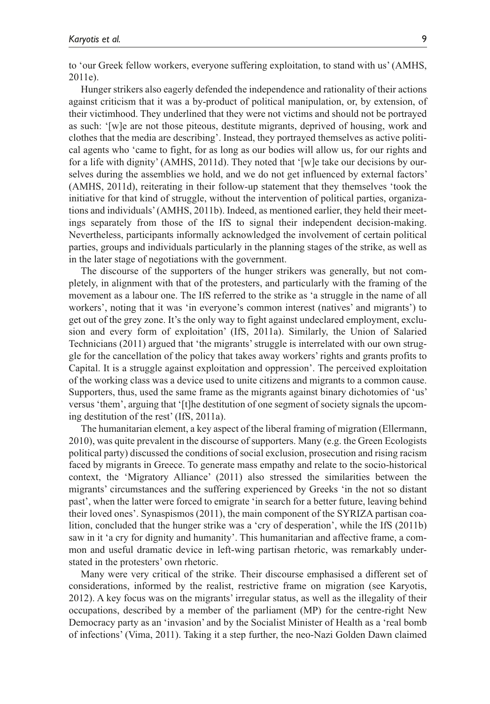to 'our Greek fellow workers, everyone suffering exploitation, to stand with us' (AMHS, 2011e).

Hunger strikers also eagerly defended the independence and rationality of their actions against criticism that it was a by-product of political manipulation, or, by extension, of their victimhood. They underlined that they were not victims and should not be portrayed as such: '[w]e are not those piteous, destitute migrants, deprived of housing, work and clothes that the media are describing'. Instead, they portrayed themselves as active political agents who 'came to fight, for as long as our bodies will allow us, for our rights and for a life with dignity' (AMHS, 2011d). They noted that '[w]e take our decisions by ourselves during the assemblies we hold, and we do not get influenced by external factors' (AMHS, 2011d), reiterating in their follow-up statement that they themselves 'took the initiative for that kind of struggle, without the intervention of political parties, organizations and individuals' (AMHS, 2011b). Indeed, as mentioned earlier, they held their meetings separately from those of the IfS to signal their independent decision-making. Nevertheless, participants informally acknowledged the involvement of certain political parties, groups and individuals particularly in the planning stages of the strike, as well as in the later stage of negotiations with the government.

The discourse of the supporters of the hunger strikers was generally, but not completely, in alignment with that of the protesters, and particularly with the framing of the movement as a labour one. The IfS referred to the strike as 'a struggle in the name of all workers', noting that it was 'in everyone's common interest (natives' and migrants') to get out of the grey zone. It's the only way to fight against undeclared employment, exclusion and every form of exploitation' (IfS, 2011a). Similarly, the Union of Salaried Technicians (2011) argued that 'the migrants' struggle is interrelated with our own struggle for the cancellation of the policy that takes away workers' rights and grants profits to Capital. It is a struggle against exploitation and oppression'. The perceived exploitation of the working class was a device used to unite citizens and migrants to a common cause. Supporters, thus, used the same frame as the migrants against binary dichotomies of 'us' versus 'them', arguing that '[t]he destitution of one segment of society signals the upcoming destitution of the rest' (IfS, 2011a).

The humanitarian element, a key aspect of the liberal framing of migration (Ellermann, 2010), was quite prevalent in the discourse of supporters. Many (e.g. the Green Ecologists political party) discussed the conditions of social exclusion, prosecution and rising racism faced by migrants in Greece. To generate mass empathy and relate to the socio-historical context, the 'Migratory Alliance' (2011) also stressed the similarities between the migrants' circumstances and the suffering experienced by Greeks 'in the not so distant past', when the latter were forced to emigrate 'in search for a better future, leaving behind their loved ones'. Synaspismos (2011), the main component of the SYRIZA partisan coalition, concluded that the hunger strike was a 'cry of desperation', while the IfS (2011b) saw in it 'a cry for dignity and humanity'. This humanitarian and affective frame, a common and useful dramatic device in left-wing partisan rhetoric, was remarkably understated in the protesters' own rhetoric.

Many were very critical of the strike. Their discourse emphasised a different set of considerations, informed by the realist, restrictive frame on migration (see Karyotis, 2012). A key focus was on the migrants' irregular status, as well as the illegality of their occupations, described by a member of the parliament (MP) for the centre-right New Democracy party as an 'invasion' and by the Socialist Minister of Health as a 'real bomb of infections' (Vima, 2011). Taking it a step further, the neo-Nazi Golden Dawn claimed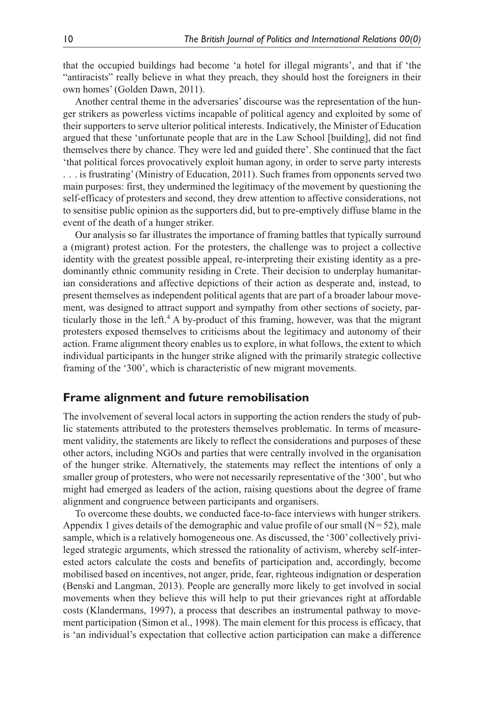that the occupied buildings had become 'a hotel for illegal migrants', and that if 'the "antiracists" really believe in what they preach, they should host the foreigners in their own homes' (Golden Dawn, 2011).

Another central theme in the adversaries' discourse was the representation of the hunger strikers as powerless victims incapable of political agency and exploited by some of their supporters to serve ulterior political interests. Indicatively, the Minister of Education argued that these 'unfortunate people that are in the Law School [building], did not find themselves there by chance. They were led and guided there'. She continued that the fact 'that political forces provocatively exploit human agony, in order to serve party interests . . . is frustrating' (Ministry of Education, 2011). Such frames from opponents served two main purposes: first, they undermined the legitimacy of the movement by questioning the self-efficacy of protesters and second, they drew attention to affective considerations, not to sensitise public opinion as the supporters did, but to pre-emptively diffuse blame in the event of the death of a hunger striker.

Our analysis so far illustrates the importance of framing battles that typically surround a (migrant) protest action. For the protesters, the challenge was to project a collective identity with the greatest possible appeal, re-interpreting their existing identity as a predominantly ethnic community residing in Crete. Their decision to underplay humanitarian considerations and affective depictions of their action as desperate and, instead, to present themselves as independent political agents that are part of a broader labour movement, was designed to attract support and sympathy from other sections of society, particularly those in the left.<sup>4</sup> A by-product of this framing, however, was that the migrant protesters exposed themselves to criticisms about the legitimacy and autonomy of their action. Frame alignment theory enables us to explore, in what follows, the extent to which individual participants in the hunger strike aligned with the primarily strategic collective framing of the '300', which is characteristic of new migrant movements.

### **Frame alignment and future remobilisation**

The involvement of several local actors in supporting the action renders the study of public statements attributed to the protesters themselves problematic. In terms of measurement validity, the statements are likely to reflect the considerations and purposes of these other actors, including NGOs and parties that were centrally involved in the organisation of the hunger strike. Alternatively, the statements may reflect the intentions of only a smaller group of protesters, who were not necessarily representative of the '300', but who might had emerged as leaders of the action, raising questions about the degree of frame alignment and congruence between participants and organisers.

To overcome these doubts, we conducted face-to-face interviews with hunger strikers. Appendix 1 gives details of the demographic and value profile of our small  $(N=52)$ , male sample, which is a relatively homogeneous one. As discussed, the '300' collectively privileged strategic arguments, which stressed the rationality of activism, whereby self-interested actors calculate the costs and benefits of participation and, accordingly, become mobilised based on incentives, not anger, pride, fear, righteous indignation or desperation (Benski and Langman, 2013). People are generally more likely to get involved in social movements when they believe this will help to put their grievances right at affordable costs (Klandermans, 1997), a process that describes an instrumental pathway to movement participation (Simon et al., 1998). The main element for this process is efficacy, that is 'an individual's expectation that collective action participation can make a difference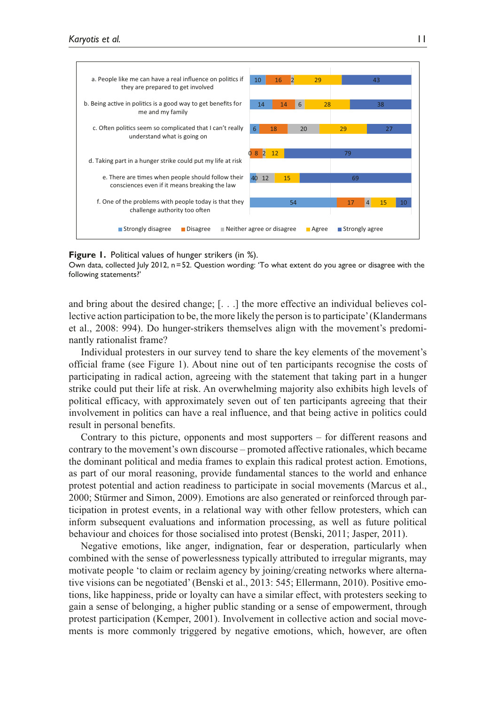

#### **Figure 1.** Political values of hunger strikers (in %).

Own data, collected July 2012, n=52. Question wording: 'To what extent do you agree or disagree with the following statements?'

and bring about the desired change; [. . .] the more effective an individual believes collective action participation to be, the more likely the person is to participate' (Klandermans et al., 2008: 994). Do hunger-strikers themselves align with the movement's predominantly rationalist frame?

Individual protesters in our survey tend to share the key elements of the movement's official frame (see Figure 1). About nine out of ten participants recognise the costs of participating in radical action, agreeing with the statement that taking part in a hunger strike could put their life at risk. An overwhelming majority also exhibits high levels of political efficacy, with approximately seven out of ten participants agreeing that their involvement in politics can have a real influence, and that being active in politics could result in personal benefits.

Contrary to this picture, opponents and most supporters – for different reasons and contrary to the movement's own discourse – promoted affective rationales, which became the dominant political and media frames to explain this radical protest action. Emotions, as part of our moral reasoning, provide fundamental stances to the world and enhance protest potential and action readiness to participate in social movements (Marcus et al., 2000; Stürmer and Simon, 2009). Emotions are also generated or reinforced through participation in protest events, in a relational way with other fellow protesters, which can inform subsequent evaluations and information processing, as well as future political behaviour and choices for those socialised into protest (Benski, 2011; Jasper, 2011).

Negative emotions, like anger, indignation, fear or desperation, particularly when combined with the sense of powerlessness typically attributed to irregular migrants, may motivate people 'to claim or reclaim agency by joining/creating networks where alternative visions can be negotiated' (Benski et al., 2013: 545; Ellermann, 2010). Positive emotions, like happiness, pride or loyalty can have a similar effect, with protesters seeking to gain a sense of belonging, a higher public standing or a sense of empowerment, through protest participation (Kemper, 2001). Involvement in collective action and social movements is more commonly triggered by negative emotions, which, however, are often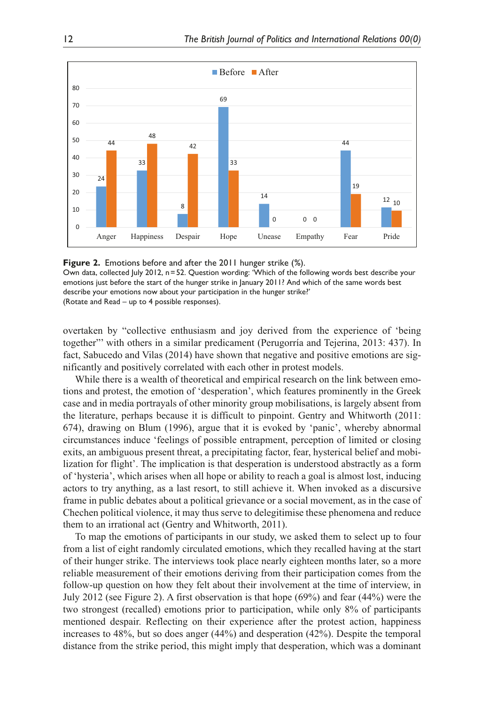

**Figure 2.** Emotions before and after the 2011 hunger strike (%).

Own data, collected July 2012, n=52. Question wording: 'Which of the following words best describe your emotions just before the start of the hunger strike in January 2011? And which of the same words best describe your emotions now about your participation in the hunger strike?' (Rotate and Read – up to 4 possible responses).

overtaken by "collective enthusiasm and joy derived from the experience of 'being together"' with others in a similar predicament (Perugorría and Tejerina, 2013: 437). In fact, Sabucedo and Vilas (2014) have shown that negative and positive emotions are significantly and positively correlated with each other in protest models.

While there is a wealth of theoretical and empirical research on the link between emotions and protest, the emotion of 'desperation', which features prominently in the Greek case and in media portrayals of other minority group mobilisations, is largely absent from the literature, perhaps because it is difficult to pinpoint. Gentry and Whitworth (2011: 674), drawing on Blum (1996), argue that it is evoked by 'panic', whereby abnormal circumstances induce 'feelings of possible entrapment, perception of limited or closing exits, an ambiguous present threat, a precipitating factor, fear, hysterical belief and mobilization for flight'. The implication is that desperation is understood abstractly as a form of 'hysteria', which arises when all hope or ability to reach a goal is almost lost, inducing actors to try anything, as a last resort, to still achieve it. When invoked as a discursive frame in public debates about a political grievance or a social movement, as in the case of Chechen political violence, it may thus serve to delegitimise these phenomena and reduce them to an irrational act (Gentry and Whitworth, 2011).

To map the emotions of participants in our study, we asked them to select up to four from a list of eight randomly circulated emotions, which they recalled having at the start of their hunger strike. The interviews took place nearly eighteen months later, so a more reliable measurement of their emotions deriving from their participation comes from the follow-up question on how they felt about their involvement at the time of interview, in July 2012 (see Figure 2). A first observation is that hope (69%) and fear (44%) were the two strongest (recalled) emotions prior to participation, while only 8% of participants mentioned despair. Reflecting on their experience after the protest action, happiness increases to 48%, but so does anger (44%) and desperation (42%). Despite the temporal distance from the strike period, this might imply that desperation, which was a dominant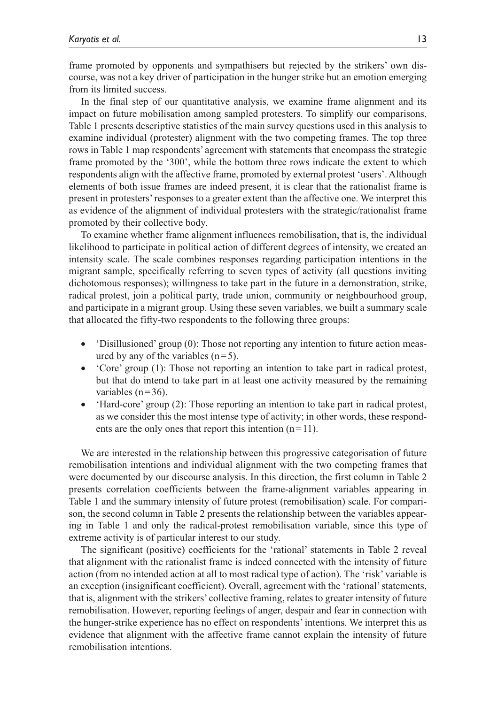frame promoted by opponents and sympathisers but rejected by the strikers' own discourse, was not a key driver of participation in the hunger strike but an emotion emerging from its limited success.

In the final step of our quantitative analysis, we examine frame alignment and its impact on future mobilisation among sampled protesters. To simplify our comparisons, Table 1 presents descriptive statistics of the main survey questions used in this analysis to examine individual (protester) alignment with the two competing frames. The top three rows in Table 1 map respondents' agreement with statements that encompass the strategic frame promoted by the '300', while the bottom three rows indicate the extent to which respondents align with the affective frame, promoted by external protest 'users'. Although elements of both issue frames are indeed present, it is clear that the rationalist frame is present in protesters' responses to a greater extent than the affective one. We interpret this as evidence of the alignment of individual protesters with the strategic/rationalist frame promoted by their collective body.

To examine whether frame alignment influences remobilisation, that is, the individual likelihood to participate in political action of different degrees of intensity, we created an intensity scale. The scale combines responses regarding participation intentions in the migrant sample, specifically referring to seven types of activity (all questions inviting dichotomous responses); willingness to take part in the future in a demonstration, strike, radical protest, join a political party, trade union, community or neighbourhood group, and participate in a migrant group. Using these seven variables, we built a summary scale that allocated the fifty-two respondents to the following three groups:

- Clisillusioned' group (0): Those not reporting any intention to future action measured by any of the variables  $(n=5)$ .
- •• 'Core' group (1): Those not reporting an intention to take part in radical protest, but that do intend to take part in at least one activity measured by the remaining variables  $(n=36)$ .
- 'Hard-core' group (2): Those reporting an intention to take part in radical protest, as we consider this the most intense type of activity; in other words, these respondents are the only ones that report this intention  $(n=11)$ .

We are interested in the relationship between this progressive categorisation of future remobilisation intentions and individual alignment with the two competing frames that were documented by our discourse analysis. In this direction, the first column in Table 2 presents correlation coefficients between the frame-alignment variables appearing in Table 1 and the summary intensity of future protest (remobilisation) scale. For comparison, the second column in Table 2 presents the relationship between the variables appearing in Table 1 and only the radical-protest remobilisation variable, since this type of extreme activity is of particular interest to our study.

The significant (positive) coefficients for the 'rational' statements in Table 2 reveal that alignment with the rationalist frame is indeed connected with the intensity of future action (from no intended action at all to most radical type of action). The 'risk' variable is an exception (insignificant coefficient). Overall, agreement with the 'rational' statements, that is, alignment with the strikers' collective framing, relates to greater intensity of future remobilisation. However, reporting feelings of anger, despair and fear in connection with the hunger-strike experience has no effect on respondents' intentions. We interpret this as evidence that alignment with the affective frame cannot explain the intensity of future remobilisation intentions.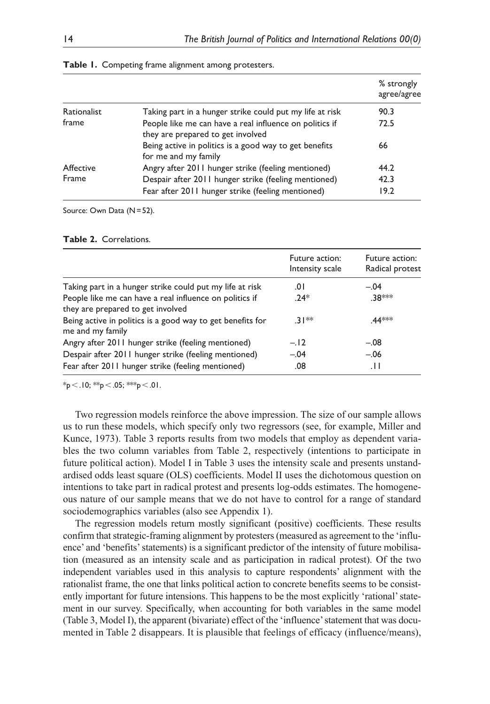|             |                                                                                              | % strongly<br>agree/agree |
|-------------|----------------------------------------------------------------------------------------------|---------------------------|
| Rationalist | Taking part in a hunger strike could put my life at risk                                     | 90.3                      |
| frame       | People like me can have a real influence on politics if<br>they are prepared to get involved | 72.5                      |
|             | Being active in politics is a good way to get benefits<br>for me and my family               | 66                        |
| Affective   | Angry after 2011 hunger strike (feeling mentioned)                                           | 44.2                      |
| Frame       | Despair after 2011 hunger strike (feeling mentioned)                                         | 42.3                      |
|             | Fear after 2011 hunger strike (feeling mentioned)                                            | 19.2                      |

| Table 1. Competing frame alignment among protesters. |  |  |  |  |
|------------------------------------------------------|--|--|--|--|
|------------------------------------------------------|--|--|--|--|

Source: Own Data (N=52).

|                                                                                              | Future action:<br>Intensity scale | Future action:<br>Radical protest |
|----------------------------------------------------------------------------------------------|-----------------------------------|-----------------------------------|
| Taking part in a hunger strike could put my life at risk                                     | 0١.                               | $-.04$                            |
| People like me can have a real influence on politics if<br>they are prepared to get involved | $.24*$                            | .38 ***                           |
| Being active in politics is a good way to get benefits for<br>me and my family               | $31**$                            | .44 ***                           |
| Angry after 2011 hunger strike (feeling mentioned)                                           | $-.12$                            | $-.08$                            |
| Despair after 2011 hunger strike (feeling mentioned)                                         | $-.04$                            | $-.06$                            |
| Fear after 2011 hunger strike (feeling mentioned)                                            | .08                               | .H                                |

 $*_{p}$  < .10;  $*_{p}$  < .05;  $*_{p}$  < .01.

Two regression models reinforce the above impression. The size of our sample allows us to run these models, which specify only two regressors (see, for example, Miller and Kunce, 1973). Table 3 reports results from two models that employ as dependent variables the two column variables from Table 2, respectively (intentions to participate in future political action). Model I in Table 3 uses the intensity scale and presents unstandardised odds least square (OLS) coefficients. Model II uses the dichotomous question on intentions to take part in radical protest and presents log-odds estimates. The homogeneous nature of our sample means that we do not have to control for a range of standard sociodemographics variables (also see Appendix 1).

The regression models return mostly significant (positive) coefficients. These results confirm that strategic-framing alignment by protesters (measured as agreement to the 'influence' and 'benefits' statements) is a significant predictor of the intensity of future mobilisation (measured as an intensity scale and as participation in radical protest). Of the two independent variables used in this analysis to capture respondents' alignment with the rationalist frame, the one that links political action to concrete benefits seems to be consistently important for future intensions. This happens to be the most explicitly 'rational' statement in our survey. Specifically, when accounting for both variables in the same model (Table 3, Model I), the apparent (bivariate) effect of the 'influence' statement that was documented in Table 2 disappears. It is plausible that feelings of efficacy (influence/means),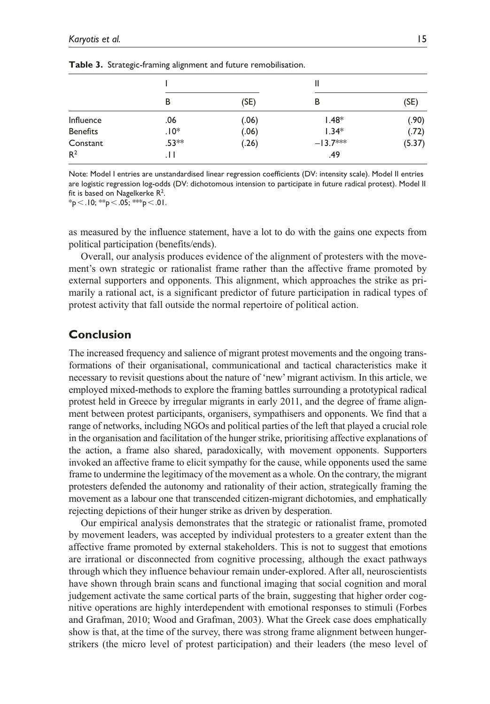|                 |         |       | Ш          |        |
|-----------------|---------|-------|------------|--------|
|                 | B       | (SE)  | в          | (SE)   |
| Influence       | .06     | (.06) | $1.48*$    | (.90)  |
| <b>Benefits</b> | $.10*$  | (.06) | $1.34*$    | (.72)  |
| Constant        | $.53**$ | (.26) | $-13.7***$ | (5.37) |
| R <sup>2</sup>  | . H     |       | .49        |        |

**Table 3.** Strategic-framing alignment and future remobilisation.

Note: Model I entries are unstandardised linear regression coefficients (DV: intensity scale). Model II entries are logistic regression log-odds (DV: dichotomous intension to participate in future radical protest). Model II fit is based on Nagelkerke R $^2$ .

 $*_{p}$  < .10;  $*_{p}$  < .05;  $*_{p}$  < .01.

as measured by the influence statement, have a lot to do with the gains one expects from political participation (benefits/ends).

Overall, our analysis produces evidence of the alignment of protesters with the movement's own strategic or rationalist frame rather than the affective frame promoted by external supporters and opponents. This alignment, which approaches the strike as primarily a rational act, is a significant predictor of future participation in radical types of protest activity that fall outside the normal repertoire of political action.

### **Conclusion**

The increased frequency and salience of migrant protest movements and the ongoing transformations of their organisational, communicational and tactical characteristics make it necessary to revisit questions about the nature of 'new' migrant activism. In this article, we employed mixed-methods to explore the framing battles surrounding a prototypical radical protest held in Greece by irregular migrants in early 2011, and the degree of frame alignment between protest participants, organisers, sympathisers and opponents. We find that a range of networks, including NGOs and political parties of the left that played a crucial role in the organisation and facilitation of the hunger strike, prioritising affective explanations of the action, a frame also shared, paradoxically, with movement opponents. Supporters invoked an affective frame to elicit sympathy for the cause, while opponents used the same frame to undermine the legitimacy of the movement as a whole. On the contrary, the migrant protesters defended the autonomy and rationality of their action, strategically framing the movement as a labour one that transcended citizen-migrant dichotomies, and emphatically rejecting depictions of their hunger strike as driven by desperation.

Our empirical analysis demonstrates that the strategic or rationalist frame, promoted by movement leaders, was accepted by individual protesters to a greater extent than the affective frame promoted by external stakeholders. This is not to suggest that emotions are irrational or disconnected from cognitive processing, although the exact pathways through which they influence behaviour remain under-explored. After all, neuroscientists have shown through brain scans and functional imaging that social cognition and moral judgement activate the same cortical parts of the brain, suggesting that higher order cognitive operations are highly interdependent with emotional responses to stimuli (Forbes and Grafman, 2010; Wood and Grafman, 2003). What the Greek case does emphatically show is that, at the time of the survey, there was strong frame alignment between hungerstrikers (the micro level of protest participation) and their leaders (the meso level of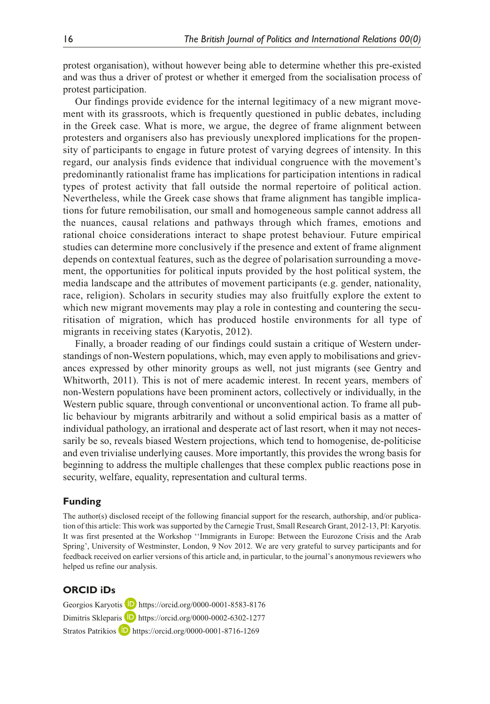protest organisation), without however being able to determine whether this pre-existed and was thus a driver of protest or whether it emerged from the socialisation process of protest participation.

Our findings provide evidence for the internal legitimacy of a new migrant movement with its grassroots, which is frequently questioned in public debates, including in the Greek case. What is more, we argue, the degree of frame alignment between protesters and organisers also has previously unexplored implications for the propensity of participants to engage in future protest of varying degrees of intensity. In this regard, our analysis finds evidence that individual congruence with the movement's predominantly rationalist frame has implications for participation intentions in radical types of protest activity that fall outside the normal repertoire of political action. Nevertheless, while the Greek case shows that frame alignment has tangible implications for future remobilisation, our small and homogeneous sample cannot address all the nuances, causal relations and pathways through which frames, emotions and rational choice considerations interact to shape protest behaviour. Future empirical studies can determine more conclusively if the presence and extent of frame alignment depends on contextual features, such as the degree of polarisation surrounding a movement, the opportunities for political inputs provided by the host political system, the media landscape and the attributes of movement participants (e.g. gender, nationality, race, religion). Scholars in security studies may also fruitfully explore the extent to which new migrant movements may play a role in contesting and countering the securitisation of migration, which has produced hostile environments for all type of migrants in receiving states (Karyotis, 2012).

Finally, a broader reading of our findings could sustain a critique of Western understandings of non-Western populations, which, may even apply to mobilisations and grievances expressed by other minority groups as well, not just migrants (see Gentry and Whitworth, 2011). This is not of mere academic interest. In recent years, members of non-Western populations have been prominent actors, collectively or individually, in the Western public square, through conventional or unconventional action. To frame all public behaviour by migrants arbitrarily and without a solid empirical basis as a matter of individual pathology, an irrational and desperate act of last resort, when it may not necessarily be so, reveals biased Western projections, which tend to homogenise, de-politicise and even trivialise underlying causes. More importantly, this provides the wrong basis for beginning to address the multiple challenges that these complex public reactions pose in security, welfare, equality, representation and cultural terms.

### **Funding**

The author(s) disclosed receipt of the following financial support for the research, authorship, and/or publication of this article: This work was supported by the Carnegie Trust, Small Research Grant, 2012-13, PI: Karyotis. It was first presented at the Workshop ''Immigrants in Europe: Between the Eurozone Crisis and the Arab Spring', University of Westminster, London, 9 Nov 2012. We are very grateful to survey participants and for feedback received on earlier versions of this article and, in particular, to the journal's anonymous reviewers who helped us refine our analysis.

### **ORCID iDs**

Georgios Karyotis **b** <https://orcid.org/0000-0001-8583-8176> Dimitris Skleparis **D** <https://orcid.org/0000-0002-6302-1277> Stratos Patrikios **iD** <https://orcid.org/0000-0001-8716-1269>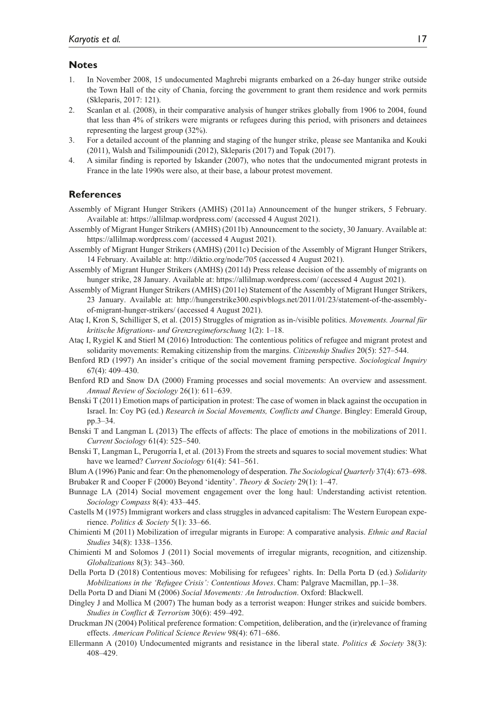#### **Notes**

- 1. In November 2008, 15 undocumented Maghrebi migrants embarked on a 26-day hunger strike outside the Town Hall of the city of Chania, forcing the government to grant them residence and work permits (Skleparis, 2017: 121).
- 2. Scanlan et al. (2008), in their comparative analysis of hunger strikes globally from 1906 to 2004, found that less than 4% of strikers were migrants or refugees during this period, with prisoners and detainees representing the largest group (32%).
- 3. For a detailed account of the planning and staging of the hunger strike, please see Mantanika and Kouki (2011), Walsh and Tsilimpounidi (2012), Skleparis (2017) and Topak (2017).
- 4. A similar finding is reported by Iskander (2007), who notes that the undocumented migrant protests in France in the late 1990s were also, at their base, a labour protest movement.

#### **References**

- Assembly of Migrant Hunger Strikers (AMHS) (2011a) Announcement of the hunger strikers, 5 February. Available at:<https://allilmap.wordpress.com/> (accessed 4 August 2021).
- Assembly of Migrant Hunger Strikers (AMHS) (2011b) Announcement to the society, 30 January. Available at: <https://allilmap.wordpress.com/> (accessed 4 August 2021).
- Assembly of Migrant Hunger Strikers (AMHS) (2011c) Decision of the Assembly of Migrant Hunger Strikers, 14 February. Available at:<http://diktio.org/node/705> (accessed 4 August 2021).
- Assembly of Migrant Hunger Strikers (AMHS) (2011d) Press release decision of the assembly of migrants on hunger strike, 28 January. Available at:<https://allilmap.wordpress.com/> (accessed 4 August 2021).
- Assembly of Migrant Hunger Strikers (AMHS) (2011e) Statement of the Assembly of Migrant Hunger Strikers, 23 January. Available at: [http://hungerstrike300.espivblogs.net/2011/01/23/statement-of-the-assembly](http://hungerstrike300.espivblogs.net/2011/01/23/statement-of-the-assembly-of-migrant-hunger-strikers/)[of-migrant-hunger-strikers/](http://hungerstrike300.espivblogs.net/2011/01/23/statement-of-the-assembly-of-migrant-hunger-strikers/) (accessed 4 August 2021).
- Ataç I, Kron S, Schilliger S, et al. (2015) Struggles of migration as in-/visible politics. *Movements. Journal für kritische Migrations- und Grenzregimeforschung* 1(2): 1–18.
- Ataç I, Rygiel K and Stierl M (2016) Introduction: The contentious politics of refugee and migrant protest and solidarity movements: Remaking citizenship from the margins. *Citizenship Studies* 20(5): 527–544.
- Benford RD (1997) An insider's critique of the social movement framing perspective. *Sociological Inquiry* 67(4): 409–430.
- Benford RD and Snow DA (2000) Framing processes and social movements: An overview and assessment. *Annual Review of Sociology* 26(1): 611–639.
- Benski T (2011) Emotion maps of participation in protest: The case of women in black against the occupation in Israel. In: Coy PG (ed.) *Research in Social Movements, Conflicts and Change*. Bingley: Emerald Group, pp.3–34.
- Benski T and Langman L (2013) The effects of affects: The place of emotions in the mobilizations of 2011. *Current Sociology* 61(4): 525–540.
- Benski T, Langman L, Perugorría I, et al. (2013) From the streets and squares to social movement studies: What have we learned? *Current Sociology* 61(4): 541–561.

Blum A (1996) Panic and fear: On the phenomenology of desperation. *The Sociological Quarterly* 37(4): 673–698. Brubaker R and Cooper F (2000) Beyond 'identity'. *Theory & Society* 29(1): 1–47.

- Bunnage LA (2014) Social movement engagement over the long haul: Understanding activist retention. *Sociology Compass* 8(4): 433–445.
- Castells M (1975) Immigrant workers and class struggles in advanced capitalism: The Western European experience. *Politics & Society* 5(1): 33–66.
- Chimienti M (2011) Mobilization of irregular migrants in Europe: A comparative analysis. *Ethnic and Racial Studies* 34(8): 1338–1356.
- Chimienti M and Solomos J (2011) Social movements of irregular migrants, recognition, and citizenship. *Globalizations* 8(3): 343–360.
- Della Porta D (2018) Contentious moves: Mobilising for refugees' rights. In: Della Porta D (ed.) *Solidarity Mobilizations in the 'Refugee Crisis': Contentious Moves*. Cham: Palgrave Macmillan, pp.1–38.

Della Porta D and Diani M (2006) *Social Movements: An Introduction*. Oxford: Blackwell.

- Dingley J and Mollica M (2007) The human body as a terrorist weapon: Hunger strikes and suicide bombers. *Studies in Conflict & Terrorism* 30(6): 459–492.
- Druckman JN (2004) Political preference formation: Competition, deliberation, and the (ir)relevance of framing effects. *American Political Science Review* 98(4): 671–686.
- Ellermann A (2010) Undocumented migrants and resistance in the liberal state. *Politics & Society* 38(3): 408–429.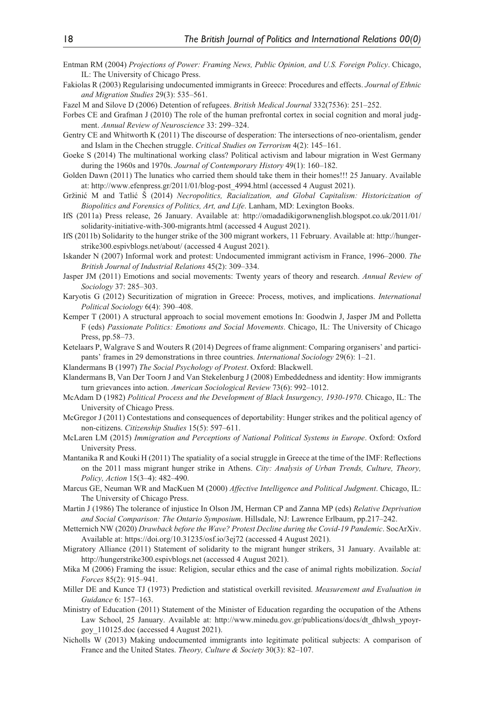- Entman RM (2004) *Projections of Power: Framing News, Public Opinion, and U.S. Foreign Policy*. Chicago, IL: The University of Chicago Press.
- Fakiolas R (2003) Regularising undocumented immigrants in Greece: Procedures and effects. *Journal of Ethnic and Migration Studies* 29(3): 535–561.

Fazel M and Silove D (2006) Detention of refugees. *British Medical Journal* 332(7536): 251–252.

- Forbes CE and Grafman J (2010) The role of the human prefrontal cortex in social cognition and moral judgment. *Annual Review of Neuroscience* 33: 299–324.
- Gentry CE and Whitworth K (2011) The discourse of desperation: The intersections of neo-orientalism, gender and Islam in the Chechen struggle. *Critical Studies on Terrorism* 4(2): 145–161.
- Goeke S (2014) The multinational working class? Political activism and labour migration in West Germany during the 1960s and 1970s. *Journal of Contemporary History* 49(1): 160–182.
- Golden Dawn (2011) The lunatics who carried them should take them in their homes!!! 25 January. Available at: [http://www.efenpress.gr/2011/01/blog-post\\_4994.html](http://www.efenpress.gr/2011/01/blog-post_4994.html) (accessed 4 August 2021).
- Gržinić M and Tatlić Š (2014) *Necropolitics, Racialization, and Global Capitalism: Historicization of Biopolitics and Forensics of Politics, Art, and Life*. Lanham, MD: Lexington Books.
- IfS (2011a) Press release, 26 January. Available at: [http://omadadikigorwnenglish.blogspot.co.uk/2011/01/](http://omadadikigorwnenglish.blogspot.co.uk/2011/01/solidarity-initiative-with-300-migrants.html) [solidarity-initiative-with-300-migrants.html](http://omadadikigorwnenglish.blogspot.co.uk/2011/01/solidarity-initiative-with-300-migrants.html) (accessed 4 August 2021).
- IfS (2011b) Solidarity to the hunger strike of the 300 migrant workers, 11 February. Available at: [http://hunger](http://hungerstrike300.espivblogs.net/about/)[strike300.espivblogs.net/about/](http://hungerstrike300.espivblogs.net/about/) (accessed 4 August 2021).
- Iskander N (2007) Informal work and protest: Undocumented immigrant activism in France, 1996–2000. *The British Journal of Industrial Relations* 45(2): 309–334.
- Jasper JM (2011) Emotions and social movements: Twenty years of theory and research. *Annual Review of Sociology* 37: 285–303.
- Karyotis G (2012) Securitization of migration in Greece: Process, motives, and implications. *International Political Sociology* 6(4): 390–408.
- Kemper T (2001) A structural approach to social movement emotions In: Goodwin J, Jasper JM and Polletta F (eds) *Passionate Politics: Emotions and Social Movements*. Chicago, IL: The University of Chicago Press, pp.58–73.
- Ketelaars P, Walgrave S and Wouters R (2014) Degrees of frame alignment: Comparing organisers' and participants' frames in 29 demonstrations in three countries. *International Sociology* 29(6): 1–21.

Klandermans B (1997) *The Social Psychology of Protest*. Oxford: Blackwell.

- Klandermans B, Van Der Toorn J and Van Stekelenburg J (2008) Embeddedness and identity: How immigrants turn grievances into action. *American Sociological Review* 73(6): 992–1012.
- McAdam D (1982) *Political Process and the Development of Black Insurgency, 1930-1970*. Chicago, IL: The University of Chicago Press.
- McGregor J (2011) Contestations and consequences of deportability: Hunger strikes and the political agency of non-citizens. *Citizenship Studies* 15(5): 597–611.
- McLaren LM (2015) *Immigration and Perceptions of National Political Systems in Europe*. Oxford: Oxford University Press.
- Mantanika R and Kouki H (2011) The spatiality of a social struggle in Greece at the time of the IMF: Reflections on the 2011 mass migrant hunger strike in Athens. *City: Analysis of Urban Trends, Culture, Theory, Policy, Action* 15(3–4): 482–490.
- Marcus GE, Neuman WR and MacKuen M (2000) *Affective Intelligence and Political Judgment*. Chicago, IL: The University of Chicago Press.
- Martin J (1986) The tolerance of injustice In Olson JM, Herman CP and Zanna MP (eds) *Relative Deprivation and Social Comparison: The Ontario Symposium*. Hillsdale, NJ: Lawrence Erlbaum, pp.217–242.
- Metternich NW (2020) *Drawback before the Wave? Protest Decline during the Covid-19 Pandemic*. SocArXiv. Available at:<https://doi.org/10.31235/osf.io/3ej72> (accessed 4 August 2021).
- Migratory Alliance (2011) Statement of solidarity to the migrant hunger strikers, 31 January. Available at: <http://hungerstrike300.espivblogs.net> (accessed 4 August 2021).
- Mika M (2006) Framing the issue: Religion, secular ethics and the case of animal rights mobilization. *Social Forces* 85(2): 915–941.
- Miller DE and Kunce TJ (1973) Prediction and statistical overkill revisited. *Measurement and Evaluation in Guidance* 6: 157–163.
- Ministry of Education (2011) Statement of the Minister of Education regarding the occupation of the Athens Law School, 25 January. Available at: [http://www.minedu.gov.gr/publications/docs/dt\\_dhlwsh\\_ypoyr](http://www.minedu.gov.gr/publications/docs/dt_dhlwsh_ypoyrgoy_110125.doc)[goy\\_110125.doc](http://www.minedu.gov.gr/publications/docs/dt_dhlwsh_ypoyrgoy_110125.doc) (accessed 4 August 2021).
- Nicholls W (2013) Making undocumented immigrants into legitimate political subjects: A comparison of France and the United States. *Theory, Culture & Society* 30(3): 82–107.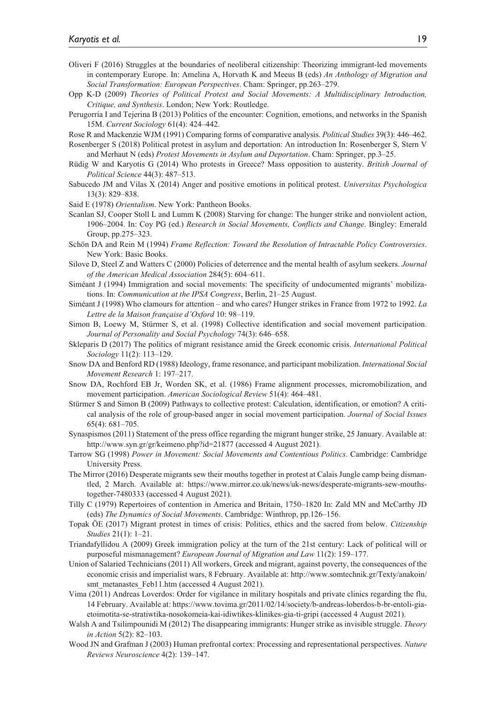- Oliveri F (2016) Struggles at the boundaries of neoliberal citizenship: Theorizing immigrant-led movements in contemporary Europe. In: Amelina A, Horvath K and Meeus B (eds) *An Anthology of Migration and Social Transformation: European Perspectives*. Cham: Springer, pp.263–279.
- Opp K-D (2009) *Theories of Political Protest and Social Movements: A Multidisciplinary Introduction, Critique, and Synthesis*. London; New York: Routledge.
- Perugorría I and Tejerina B (2013) Politics of the encounter: Cognition, emotions, and networks in the Spanish 15M. *Current Sociology* 61(4): 424–442.

Rose R and Mackenzie WJM (1991) Comparing forms of comparative analysis. *Political Studies* 39(3): 446–462.

Rosenberger S (2018) Political protest in asylum and deportation: An introduction In: Rosenberger S, Stern V and Merhaut N (eds) *Protest Movements in Asylum and Deportation*. Cham: Springer, pp.3–25.

- Rüdig W and Karyotis G (2014) Who protests in Greece? Mass opposition to austerity. *British Journal of Political Science* 44(3): 487–513.
- Sabucedo JM and Vilas X (2014) Anger and positive emotions in political protest. *Universitas Psychologica* 13(3): 829–838.

Said E (1978) *Orientalism*. New York: Pantheon Books.

- Scanlan SJ, Cooper Stoll L and Lumm K (2008) Starving for change: The hunger strike and nonviolent action, 1906–2004. In: Coy PG (ed.) *Research in Social Movements, Conflicts and Change*. Bingley: Emerald Group, pp.275–323.
- Schön DA and Rein M (1994) *Frame Reflection: Toward the Resolution of Intractable Policy Controversies*. New York: Basic Books.
- Silove D, Steel Z and Watters C (2000) Policies of deterrence and the mental health of asylum seekers. *Journal of the American Medical Association* 284(5): 604–611.
- Siméant J (1994) Immigration and social movements: The specificity of undocumented migrants' mobilizations. In: *Communication at the IPSA Congress*, Berlin, 21–25 August.
- Siméant J (1998) Who clamours for attention and who cares? Hunger strikes in France from 1972 to 1992. *La Lettre de la Maison française d'Oxford* 10: 98–119.
- Simon B, Loewy M, Stürmer S, et al. (1998) Collective identification and social movement participation. *Journal of Personality and Social Psychology* 74(3): 646–658.
- Skleparis D (2017) The politics of migrant resistance amid the Greek economic crisis. *International Political Sociology* 11(2): 113–129.
- Snow DA and Benford RD (1988) Ideology, frame resonance, and participant mobilization. *International Social Movement Research* 1: 197–217.
- Snow DA, Rochford EB Jr, Worden SK, et al. (1986) Frame alignment processes, micromobilization, and movement participation. *American Sociological Review* 51(4): 464–481.
- Stürmer S and Simon B (2009) Pathways to collective protest: Calculation, identification, or emotion? A critical analysis of the role of group-based anger in social movement participation. *Journal of Social Issues* 65(4): 681–705.
- Synaspismos (2011) Statement of the press office regarding the migrant hunger strike, 25 January. Available at: <http://www.syn.gr/gr/keimeno.php?id=21877> (accessed 4 August 2021).
- Tarrow SG (1998) *Power in Movement: Social Movements and Contentious Politics*. Cambridge: Cambridge University Press.
- The Mirror (2016) Desperate migrants sew their mouths together in protest at Calais Jungle camp being dismantled, 2 March. Available at: [https://www.mirror.co.uk/news/uk-news/desperate-migrants-sew-mouths](https://www.mirror.co.uk/news/uk-news/desperate-migrants-sew-mouths-together-7480333)[together-7480333](https://www.mirror.co.uk/news/uk-news/desperate-migrants-sew-mouths-together-7480333) (accessed 4 August 2021).
- Tilly C (1979) Repertoires of contention in America and Britain, 1750–1820 In: Zald MN and McCarthy JD (eds) *The Dynamics of Social Movements*. Cambridge: Winthrop, pp.126–156.
- Topak ÖE (2017) Migrant protest in times of crisis: Politics, ethics and the sacred from below. *Citizenship Studies* 21(1): 1–21.
- Triandafyllidou A (2009) Greek immigration policy at the turn of the 21st century: Lack of political will or purposeful mismanagement? *European Journal of Migration and Law* 11(2): 159–177.
- Union of Salaried Technicians (2011) All workers, Greek and migrant, against poverty, the consequences of the economic crisis and imperialist wars, 8 February. Available at: [http://www.somtechnik.gr/Texty/anakoin/](http://www.somtechnik.gr/Texty/anakoin/smt_metanastes_Feb11.htm) [smt\\_metanastes\\_Feb11.htm](http://www.somtechnik.gr/Texty/anakoin/smt_metanastes_Feb11.htm) (accessed 4 August 2021).
- Vima (2011) Andreas Loverdos: Order for vigilance in military hospitals and private clinics regarding the flu, 14 February. Available at: [https://www.tovima.gr/2011/02/14/society/b-andreas-loberdos-b-br-entoli-gia](https://www.tovima.gr/2011/02/14/society/b-andreas-loberdos-b-br-entoli-gia-etoimotita-se-stratiwtika-nosokomeia-kai-idiwtikes-klinikes-gia-ti-gripi)[etoimotita-se-stratiwtika-nosokomeia-kai-idiwtikes-klinikes-gia-ti-gripi](https://www.tovima.gr/2011/02/14/society/b-andreas-loberdos-b-br-entoli-gia-etoimotita-se-stratiwtika-nosokomeia-kai-idiwtikes-klinikes-gia-ti-gripi) (accessed 4 August 2021).
- Walsh A and Tsilimpounidi M (2012) The disappearing immigrants: Hunger strike as invisible struggle. *Theory in Action* 5(2): 82–103.
- Wood JN and Grafman J (2003) Human prefrontal cortex: Processing and representational perspectives. *Nature Reviews Neuroscience* 4(2): 139–147.